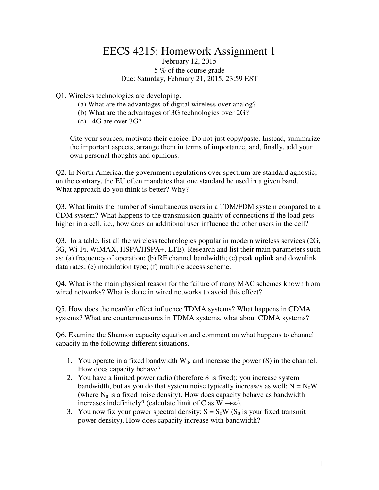## EECS 4215: Homework Assignment 1 February 12, 2015

## 5 % of the course grade Due: Saturday, February 21, 2015, 23:59 EST

Q1. Wireless technologies are developing.

- (a) What are the advantages of digital wireless over analog?
- (b) What are the advantages of 3G technologies over 2G?
- $(c)$  4G are over 3G?

Cite your sources, motivate their choice. Do not just copy/paste. Instead, summarize the important aspects, arrange them in terms of importance, and, finally, add your own personal thoughts and opinions.

Q2. In North America, the government regulations over spectrum are standard agnostic; on the contrary, the EU often mandates that one standard be used in a given band. What approach do you think is better? Why?

Q3. What limits the number of simultaneous users in a TDM/FDM system compared to a CDM system? What happens to the transmission quality of connections if the load gets higher in a cell, i.e., how does an additional user influence the other users in the cell?

Q3. In a table, list all the wireless technologies popular in modern wireless services (2G, 3G, Wi-Fi, WiMAX, HSPA/HSPA+, LTE). Research and list their main parameters such as: (a) frequency of operation; (b) RF channel bandwidth; (c) peak uplink and downlink data rates; (e) modulation type; (f) multiple access scheme.

Q4. What is the main physical reason for the failure of many MAC schemes known from wired networks? What is done in wired networks to avoid this effect?

Q5. How does the near/far effect influence TDMA systems? What happens in CDMA systems? What are countermeasures in TDMA systems, what about CDMA systems?

Q6. Examine the Shannon capacity equation and comment on what happens to channel capacity in the following different situations.

- 1. You operate in a fixed bandwidth  $W_0$ , and increase the power (S) in the channel. How does capacity behave?
- 2. You have a limited power radio (therefore S is fixed); you increase system bandwidth, but as you do that system noise typically increases as well:  $N = N_0W$ (where  $N_0$  is a fixed noise density). How does capacity behave as bandwidth increases indefinitely? (calculate limit of C as W  $\rightarrow \infty$ ).
- 3. You now fix your power spectral density:  $S = S_0W(S_0)$  is your fixed transmit power density). How does capacity increase with bandwidth?